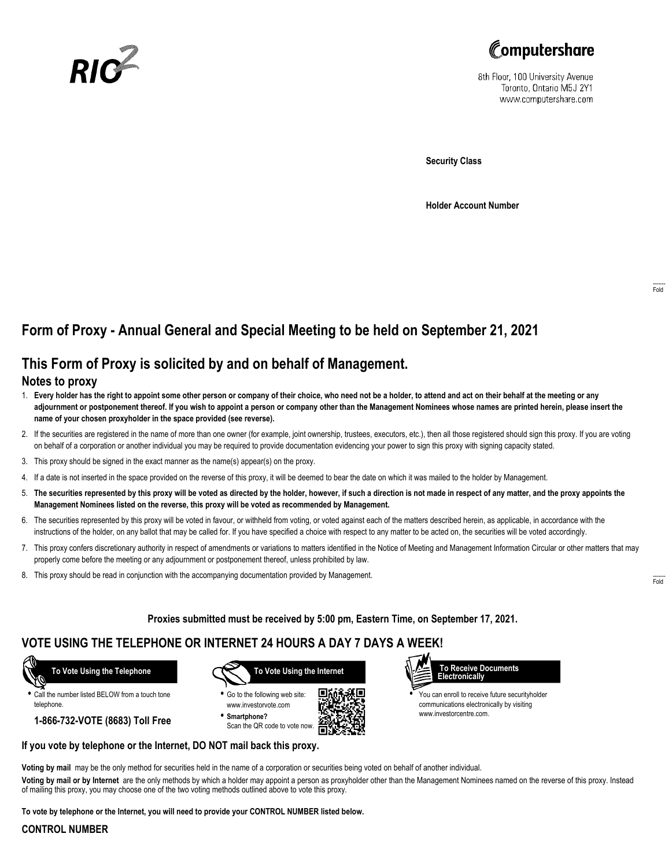



8th Floor, 100 University Avenue Toronto, Ontario M5J 2Y1 www.computershare.com

**Security Class**

**Holder Account Number**

# **Form of Proxy - Annual General and Special Meeting to be held on September 21, 2021**

## **This Form of Proxy is solicited by and on behalf of Management.**

#### **Notes to proxy**

- 1. **Every holder has the right to appoint some other person or company of their choice, who need not be a holder, to attend and act on their behalf at the meeting or any adjournment or postponement thereof. If you wish to appoint a person or company other than the Management Nominees whose names are printed herein, please insert the name of your chosen proxyholder in the space provided (see reverse).**
- 2. If the securities are registered in the name of more than one owner (for example, joint ownership, trustees, executors, etc.), then all those registered should sign this proxy. If you are voting on behalf of a corporation or another individual you may be required to provide documentation evidencing your power to sign this proxy with signing capacity stated.
- 3. This proxy should be signed in the exact manner as the name(s) appear(s) on the proxy.
- 4. If a date is not inserted in the space provided on the reverse of this proxy, it will be deemed to bear the date on which it was mailed to the holder by Management.
- 5. **The securities represented by this proxy will be voted as directed by the holder, however, if such a direction is not made in respect of any matter, and the proxy appoints the Management Nominees listed on the reverse, this proxy will be voted as recommended by Management.**
- 6. The securities represented by this proxy will be voted in favour, or withheld from voting, or voted against each of the matters described herein, as applicable, in accordance with the instructions of the holder, on any ballot that may be called for. If you have specified a choice with respect to any matter to be acted on, the securities will be voted accordingly.
- 7. This proxy confers discretionary authority in respect of amendments or variations to matters identified in the Notice of Meeting and Management Information Circular or other matters that may properly come before the meeting or any adjournment or postponement thereof, unless prohibited by law.
- 8. This proxy should be read in conjunction with the accompanying documentation provided by Management.

**Proxies submitted must be received by 5:00 pm, Eastern Time, on September 17, 2021.**

## **VOTE USING THE TELEPHONE OR INTERNET 24 HOURS A DAY 7 DAYS A WEEK!**

 **To Vote Using the Telephone**

**•** Call the number listed BELOW from a touch tone telephone.

**1-866-732-VOTE (8683) Toll Free**



**•** Go to the following web site: www.investorvote.com **• Smartphone?**

Scan the QR code to vote now.





**•** You can enroll to receive future securityholder communications electronically by visiting www.investorcentre.com.

#### **If you vote by telephone or the Internet, DO NOT mail back this proxy.**

**Voting by mail** may be the only method for securities held in the name of a corporation or securities being voted on behalf of another individual.

**Voting by mail or by Internet** are the only methods by which a holder may appoint a person as proxyholder other than the Management Nominees named on the reverse of this proxy. Instead of mailing this proxy, you may choose one of the two voting methods outlined above to vote this proxy.

**To vote by telephone or the Internet, you will need to provide your CONTROL NUMBER listed below.**

#### **CONTROL NUMBER**